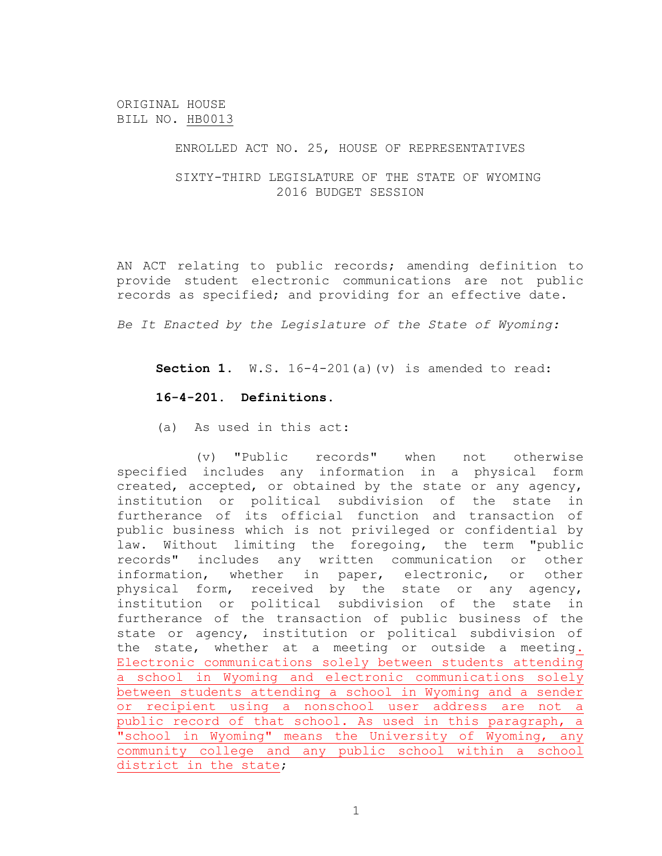ORIGINAL HOUSE BILL NO. HB0013

ENROLLED ACT NO. 25, HOUSE OF REPRESENTATIVES

SIXTY-THIRD LEGISLATURE OF THE STATE OF WYOMING 2016 BUDGET SESSION

AN ACT relating to public records; amending definition to provide student electronic communications are not public records as specified; and providing for an effective date.

*Be It Enacted by the Legislature of the State of Wyoming:*

**Section 1.** W.S. 16-4-201(a)(v) is amended to read:

## **16-4-201. Definitions.**

(a) As used in this act:

(v) "Public records" when not otherwise specified includes any information in a physical form created, accepted, or obtained by the state or any agency, institution or political subdivision of the state in furtherance of its official function and transaction of public business which is not privileged or confidential by law. Without limiting the foregoing, the term "public records" includes any written communication or other information, whether in paper, electronic, or other physical form, received by the state or any agency, institution or political subdivision of the state in furtherance of the transaction of public business of the state or agency, institution or political subdivision of the state, whether at a meeting or outside a meeting. Electronic communications solely between students attending a school in Wyoming and electronic communications solely between students attending a school in Wyoming and a sender or recipient using a nonschool user address are not a public record of that school. As used in this paragraph, a "school in Wyoming" means the University of Wyoming, any community college and any public school within a school district in the state;